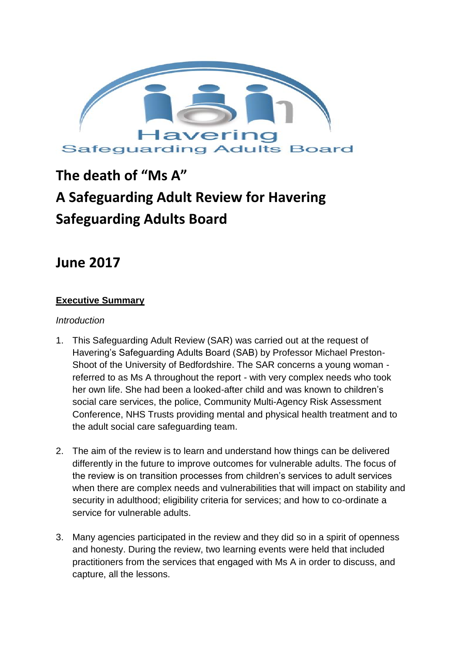

# **The death of "Ms A" A Safeguarding Adult Review for Havering Safeguarding Adults Board**

# **June 2017**

# **Executive Summary**

#### *Introduction*

- 1. This Safeguarding Adult Review (SAR) was carried out at the request of Havering's Safeguarding Adults Board (SAB) by Professor Michael Preston-Shoot of the University of Bedfordshire. The SAR concerns a young woman referred to as Ms A throughout the report - with very complex needs who took her own life. She had been a looked-after child and was known to children's social care services, the police, Community Multi-Agency Risk Assessment Conference, NHS Trusts providing mental and physical health treatment and to the adult social care safeguarding team.
- 2. The aim of the review is to learn and understand how things can be delivered differently in the future to improve outcomes for vulnerable adults. The focus of the review is on transition processes from children's services to adult services when there are complex needs and vulnerabilities that will impact on stability and security in adulthood; eligibility criteria for services; and how to co-ordinate a service for vulnerable adults.
- 3. Many agencies participated in the review and they did so in a spirit of openness and honesty. During the review, two learning events were held that included practitioners from the services that engaged with Ms A in order to discuss, and capture, all the lessons.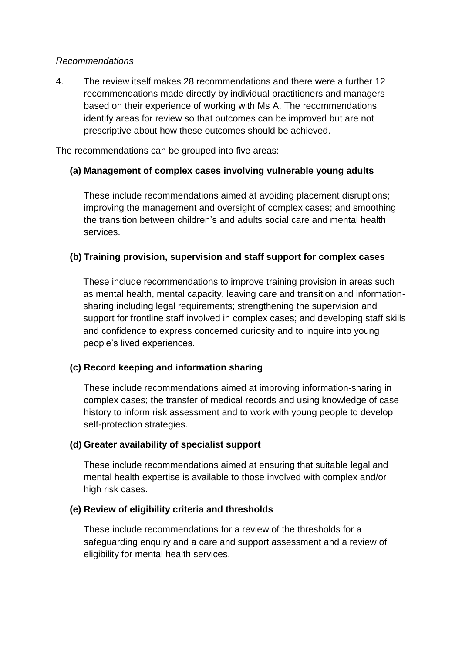#### *Recommendations*

4. The review itself makes 28 recommendations and there were a further 12 recommendations made directly by individual practitioners and managers based on their experience of working with Ms A. The recommendations identify areas for review so that outcomes can be improved but are not prescriptive about how these outcomes should be achieved.

The recommendations can be grouped into five areas:

## **(a) Management of complex cases involving vulnerable young adults**

These include recommendations aimed at avoiding placement disruptions; improving the management and oversight of complex cases; and smoothing the transition between children's and adults social care and mental health services.

## **(b) Training provision, supervision and staff support for complex cases**

These include recommendations to improve training provision in areas such as mental health, mental capacity, leaving care and transition and informationsharing including legal requirements; strengthening the supervision and support for frontline staff involved in complex cases; and developing staff skills and confidence to express concerned curiosity and to inquire into young people's lived experiences.

## **(c) Record keeping and information sharing**

These include recommendations aimed at improving information-sharing in complex cases; the transfer of medical records and using knowledge of case history to inform risk assessment and to work with young people to develop self-protection strategies.

## **(d) Greater availability of specialist support**

These include recommendations aimed at ensuring that suitable legal and mental health expertise is available to those involved with complex and/or high risk cases.

## **(e) Review of eligibility criteria and thresholds**

These include recommendations for a review of the thresholds for a safeguarding enquiry and a care and support assessment and a review of eligibility for mental health services.